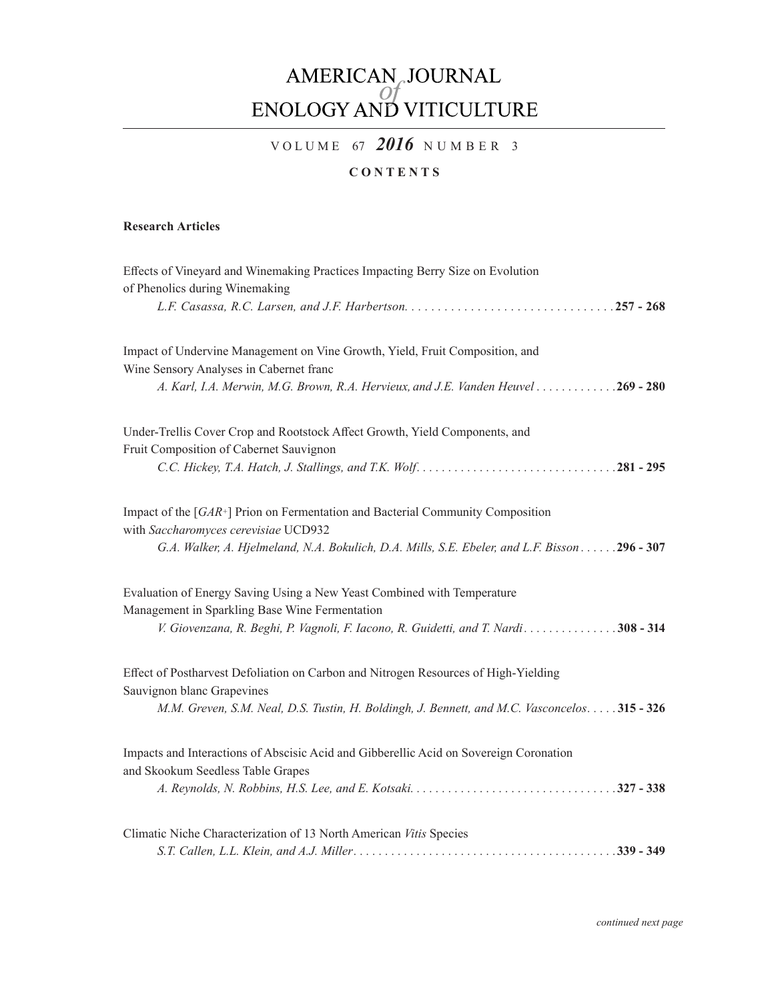# AMERICAN, JOURNAL<br>ENOLOGY AND VITICULTURE

# VOLUME 67 2016 NUMBER 3

## **CONTENTS**

### **Research Articles**

| Effects of Vineyard and Winemaking Practices Impacting Berry Size on Evolution<br>of Phenolics during Winemaking                      |
|---------------------------------------------------------------------------------------------------------------------------------------|
|                                                                                                                                       |
| Impact of Undervine Management on Vine Growth, Yield, Fruit Composition, and<br>Wine Sensory Analyses in Cabernet franc               |
| A. Karl, I.A. Merwin, M.G. Brown, R.A. Hervieux, and J.E. Vanden Heuvel 269 - 280                                                     |
| Under-Trellis Cover Crop and Rootstock Affect Growth, Yield Components, and<br>Fruit Composition of Cabernet Sauvignon                |
|                                                                                                                                       |
| Impact of the $\lceil GAR^+ \rceil$ Prion on Fermentation and Bacterial Community Composition<br>with Saccharomyces cerevisiae UCD932 |
| G.A. Walker, A. Hjelmeland, N.A. Bokulich, D.A. Mills, S.E. Ebeler, and L.F. Bisson 296 - 307                                         |
| Evaluation of Energy Saving Using a New Yeast Combined with Temperature<br>Management in Sparkling Base Wine Fermentation             |
| V. Giovenzana, R. Beghi, P. Vagnoli, F. Iacono, R. Guidetti, and T. Nardi. 308 - 314                                                  |
| Effect of Postharvest Defoliation on Carbon and Nitrogen Resources of High-Yielding<br>Sauvignon blanc Grapevines                     |
| M.M. Greven, S.M. Neal, D.S. Tustin, H. Boldingh, J. Bennett, and M.C. Vasconcelos 315 - 326                                          |
| Impacts and Interactions of Abscisic Acid and Gibberellic Acid on Sovereign Coronation<br>and Skookum Seedless Table Grapes           |
|                                                                                                                                       |
| Climatic Niche Characterization of 13 North American Vitis Species                                                                    |
|                                                                                                                                       |